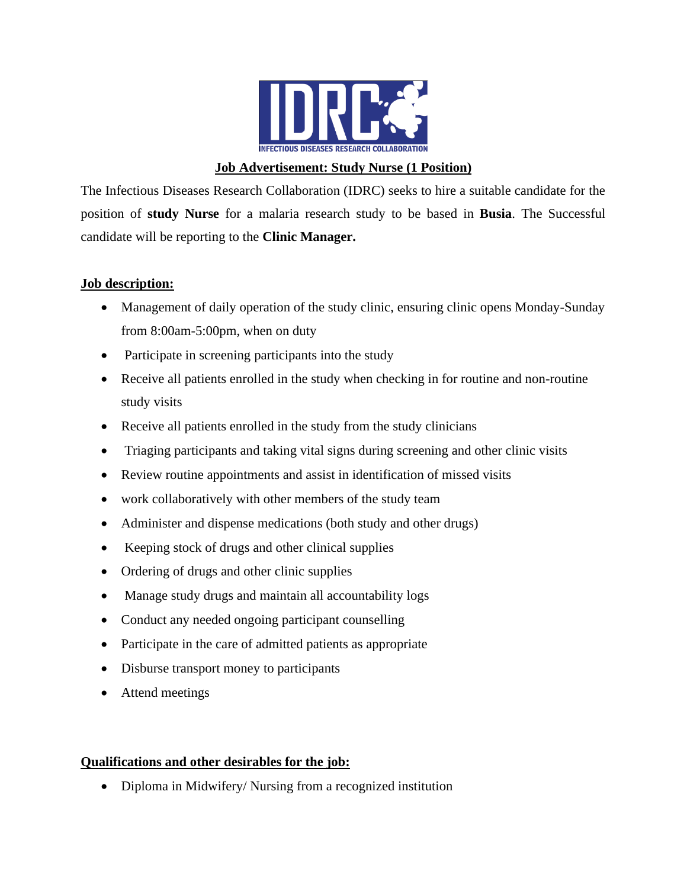

### **Job Advertisement: Study Nurse (1 Position)**

The Infectious Diseases Research Collaboration (IDRC) seeks to hire a suitable candidate for the position of **study Nurse** for a malaria research study to be based in **Busia**. The Successful candidate will be reporting to the **Clinic Manager.**

#### **Job description:**

- Management of daily operation of the study clinic, ensuring clinic opens Monday-Sunday from 8:00am-5:00pm, when on duty
- Participate in screening participants into the study
- Receive all patients enrolled in the study when checking in for routine and non-routine study visits
- Receive all patients enrolled in the study from the study clinicians
- Triaging participants and taking vital signs during screening and other clinic visits
- Review routine appointments and assist in identification of missed visits
- work collaboratively with other members of the study team
- Administer and dispense medications (both study and other drugs)
- Keeping stock of drugs and other clinical supplies
- Ordering of drugs and other clinic supplies
- Manage study drugs and maintain all accountability logs
- Conduct any needed ongoing participant counselling
- Participate in the care of admitted patients as appropriate
- Disburse transport money to participants
- Attend meetings

### **Qualifications and other desirables for the job:**

• Diploma in Midwifery/ Nursing from a recognized institution